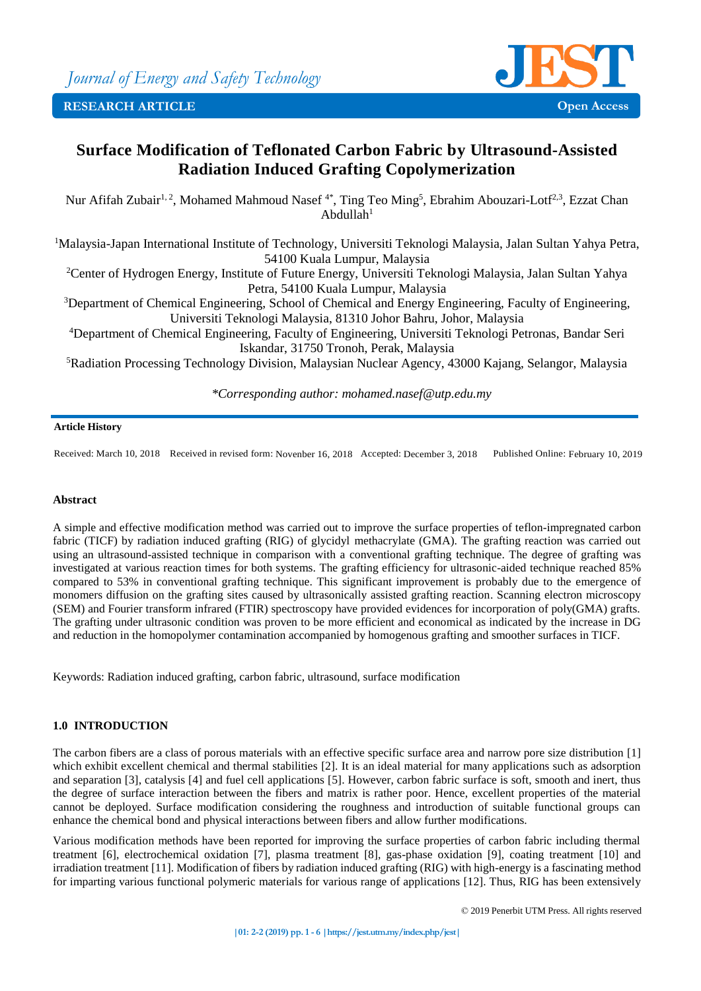**RESEARCH ARTICLE Open Access**

# **Surface Modification of Teflonated Carbon Fabric by Ultrasound-Assisted Radiation Induced Grafting Copolymerization**

Nur Afifah Zubair<sup>1, 2</sup>, Mohamed Mahmoud Nasef<sup>4\*</sup>, Ting Teo Ming<sup>5</sup>, Ebrahim Abouzari-Lotf<sup>2,3</sup>, Ezzat Chan Abdullah $1$ 

<sup>1</sup>Malaysia-Japan International Institute of Technology, Universiti Teknologi Malaysia, Jalan Sultan Yahya Petra, 54100 Kuala Lumpur, Malaysia

<sup>2</sup>Center of Hydrogen Energy, Institute of Future Energy, Universiti Teknologi Malaysia, Jalan Sultan Yahya Petra, 54100 Kuala Lumpur, Malaysia

<sup>3</sup>Department of Chemical Engineering, School of Chemical and Energy Engineering, Faculty of Engineering, Universiti Teknologi Malaysia, 81310 Johor Bahru, Johor, Malaysia

<sup>4</sup>Department of Chemical Engineering, Faculty of Engineering, Universiti Teknologi Petronas, Bandar Seri Iskandar, 31750 Tronoh, Perak, Malaysia

<sup>5</sup>Radiation Processing Technology Division, Malaysian Nuclear Agency, 43000 Kajang, Selangor, Malaysia

*\*Corresponding author: mohamed.nasef@utp.edu.my*

## **Article History**

Received: March 10, 2018 Received in revised form: Novenber 16, 2018 Accepted: December 3, 2018 Published Online: February 10, 2019

## **Abstract**

A simple and effective modification method was carried out to improve the surface properties of teflon-impregnated carbon fabric (TICF) by radiation induced grafting (RIG) of glycidyl methacrylate (GMA). The grafting reaction was carried out using an ultrasound-assisted technique in comparison with a conventional grafting technique. The degree of grafting was investigated at various reaction times for both systems. The grafting efficiency for ultrasonic-aided technique reached 85% compared to 53% in conventional grafting technique. This significant improvement is probably due to the emergence of monomers diffusion on the grafting sites caused by ultrasonically assisted grafting reaction. Scanning electron microscopy (SEM) and Fourier transform infrared (FTIR) spectroscopy have provided evidences for incorporation of poly(GMA) grafts. The grafting under ultrasonic condition was proven to be more efficient and economical as indicated by the increase in DG and reduction in the homopolymer contamination accompanied by homogenous grafting and smoother surfaces in TICF.

Keywords: Radiation induced grafting, carbon fabric, ultrasound, surface modification

## **1.0 INTRODUCTION**

The carbon fibers are a class of porous materials with an effective specific surface area and narrow pore size distribution [1] which exhibit excellent chemical and thermal stabilities [2]. It is an ideal material for many applications such as adsorption and separation [3], catalysis [4] and fuel cell applications [5]. However, carbon fabric surface is soft, smooth and inert, thus the degree of surface interaction between the fibers and matrix is rather poor. Hence, excellent properties of the material cannot be deployed. Surface modification considering the roughness and introduction of suitable functional groups can enhance the chemical bond and physical interactions between fibers and allow further modifications.

Various modification methods have been reported for improving the surface properties of carbon fabric including thermal treatment [6], electrochemical oxidation [7], plasma treatment [8], gas-phase oxidation [9], coating treatment [10] and irradiation treatment [11]. Modification of fibers by radiation induced grafting (RIG) with high-energy is a fascinating method for imparting various functional polymeric materials for various range of applications [12]. Thus, RIG has been extensively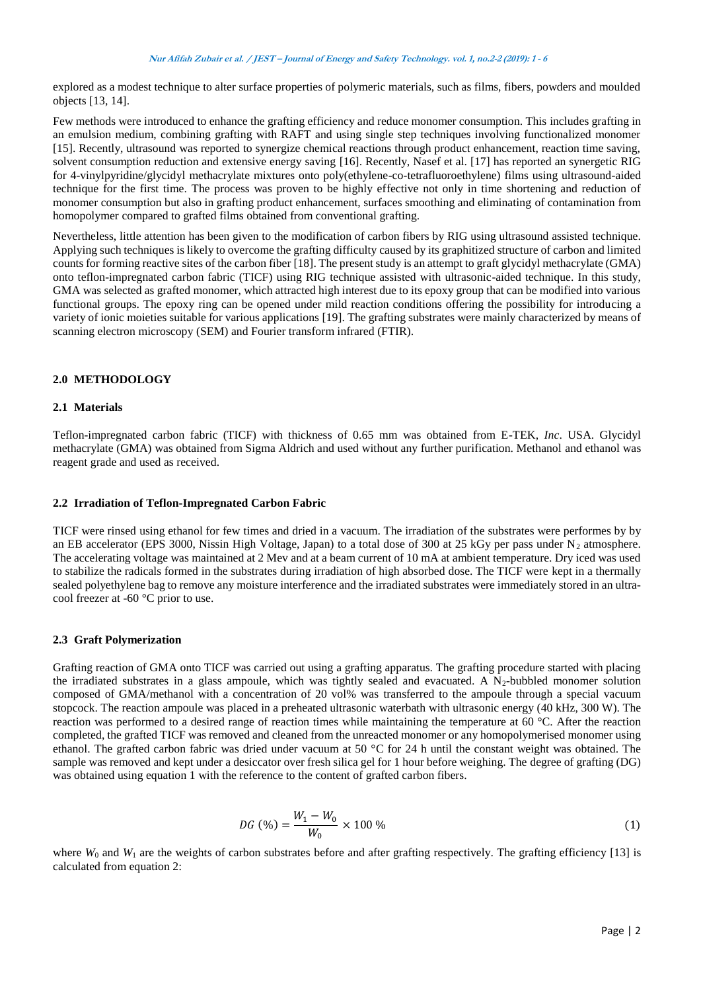explored as a modest technique to alter surface properties of polymeric materials, such as films, fibers, powders and moulded objects [13, 14].

Few methods were introduced to enhance the grafting efficiency and reduce monomer consumption. This includes grafting in an emulsion medium, combining grafting with RAFT and using single step techniques involving functionalized monomer [15]. Recently, ultrasound was reported to synergize chemical reactions through product enhancement, reaction time saving, solvent consumption reduction and extensive energy saving [16]. Recently, Nasef et al. [17] has reported an synergetic RIG for 4-vinylpyridine/glycidyl methacrylate mixtures onto poly(ethylene-co-tetrafluoroethylene) films using ultrasound-aided technique for the first time. The process was proven to be highly effective not only in time shortening and reduction of monomer consumption but also in grafting product enhancement, surfaces smoothing and eliminating of contamination from homopolymer compared to grafted films obtained from conventional grafting.

Nevertheless, little attention has been given to the modification of carbon fibers by RIG using ultrasound assisted technique. Applying such techniques is likely to overcome the grafting difficulty caused by its graphitized structure of carbon and limited counts for forming reactive sites of the carbon fiber [18]. The present study is an attempt to graft glycidyl methacrylate (GMA) onto teflon-impregnated carbon fabric (TICF) using RIG technique assisted with ultrasonic-aided technique. In this study, GMA was selected as grafted monomer, which attracted high interest due to its epoxy group that can be modified into various functional groups. The epoxy ring can be opened under mild reaction conditions offering the possibility for introducing a variety of ionic moieties suitable for various applications [19]. The grafting substrates were mainly characterized by means of scanning electron microscopy (SEM) and Fourier transform infrared (FTIR).

## **2.0 METHODOLOGY**

## **2.1 Materials**

Teflon-impregnated carbon fabric (TICF) with thickness of 0.65 mm was obtained from E-TEK, *Inc*. USA. Glycidyl methacrylate (GMA) was obtained from Sigma Aldrich and used without any further purification. Methanol and ethanol was reagent grade and used as received.

## **2.2 Irradiation of Teflon-Impregnated Carbon Fabric**

TICF were rinsed using ethanol for few times and dried in a vacuum. The irradiation of the substrates were performes by by an EB accelerator (EPS 3000, Nissin High Voltage, Japan) to a total dose of 300 at 25 kGy per pass under  $N_2$  atmosphere. The accelerating voltage was maintained at 2 Mev and at a beam current of 10 mA at ambient temperature. Dry iced was used to stabilize the radicals formed in the substrates during irradiation of high absorbed dose. The TICF were kept in a thermally sealed polyethylene bag to remove any moisture interference and the irradiated substrates were immediately stored in an ultracool freezer at -60 °C prior to use.

## **2.3 Graft Polymerization**

Grafting reaction of GMA onto TICF was carried out using a grafting apparatus. The grafting procedure started with placing the irradiated substrates in a glass ampoule, which was tightly sealed and evacuated. A  $N_2$ -bubbled monomer solution composed of GMA/methanol with a concentration of 20 vol% was transferred to the ampoule through a special vacuum stopcock. The reaction ampoule was placed in a preheated ultrasonic waterbath with ultrasonic energy (40 kHz, 300 W). The reaction was performed to a desired range of reaction times while maintaining the temperature at 60 °C. After the reaction completed, the grafted TICF was removed and cleaned from the unreacted monomer or any homopolymerised monomer using ethanol. The grafted carbon fabric was dried under vacuum at 50 °C for 24 h until the constant weight was obtained. The sample was removed and kept under a desiccator over fresh silica gel for 1 hour before weighing. The degree of grafting (DG) was obtained using equation 1 with the reference to the content of grafted carbon fibers.

$$
DG\,\,(\%) = \frac{W_1 - W_0}{W_0} \times 100\,\,\%
$$
\n(1)

where  $W_0$  and  $W_1$  are the weights of carbon substrates before and after grafting respectively. The grafting efficiency [13] is calculated from equation 2: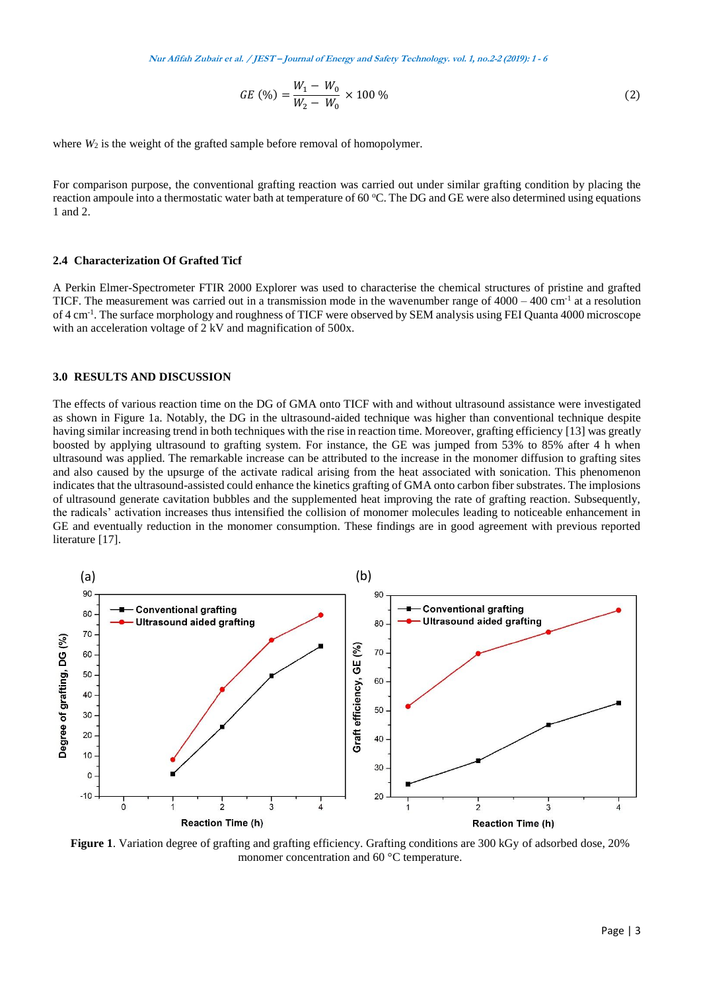**Nur Afifah Zubair et al. / JEST – Journal of Energy and Safety Technology. vol. 1, no.2-2 (2019): <sup>1</sup> - <sup>6</sup>**

$$
GE\ (\%) = \frac{W_1 - W_0}{W_2 - W_0} \times 100\ \% \tag{2}
$$

where  $W_2$  is the weight of the grafted sample before removal of homopolymer.

For comparison purpose, the conventional grafting reaction was carried out under similar grafting condition by placing the reaction ampoule into a thermostatic water bath at temperature of 60 °C. The DG and GE were also determined using equations 1 and 2.

### **2.4 Characterization Of Grafted Ticf**

A Perkin Elmer-Spectrometer FTIR 2000 Explorer was used to characterise the chemical structures of pristine and grafted TICF. The measurement was carried out in a transmission mode in the wavenumber range of  $4000 - 400$  cm<sup>-1</sup> at a resolution of 4 cm-1 . The surface morphology and roughness of TICF were observed by SEM analysis using FEI Quanta 4000 microscope with an acceleration voltage of 2 kV and magnification of 500x.

#### **3.0 RESULTS AND DISCUSSION**

The effects of various reaction time on the DG of GMA onto TICF with and without ultrasound assistance were investigated as shown in Figure 1a. Notably, the DG in the ultrasound-aided technique was higher than conventional technique despite having similar increasing trend in both techniques with the rise in reaction time. Moreover, grafting efficiency [13] was greatly boosted by applying ultrasound to grafting system. For instance, the GE was jumped from 53% to 85% after 4 h when ultrasound was applied. The remarkable increase can be attributed to the increase in the monomer diffusion to grafting sites and also caused by the upsurge of the activate radical arising from the heat associated with sonication. This phenomenon indicates that the ultrasound-assisted could enhance the kinetics grafting of GMA onto carbon fiber substrates. The implosions of ultrasound generate cavitation bubbles and the supplemented heat improving the rate of grafting reaction. Subsequently, the radicals' activation increases thus intensified the collision of monomer molecules leading to noticeable enhancement in GE and eventually reduction in the monomer consumption. These findings are in good agreement with previous reported literature [17].



**Figure 1**. Variation degree of grafting and grafting efficiency. Grafting conditions are 300 kGy of adsorbed dose, 20% monomer concentration and 60 °C temperature.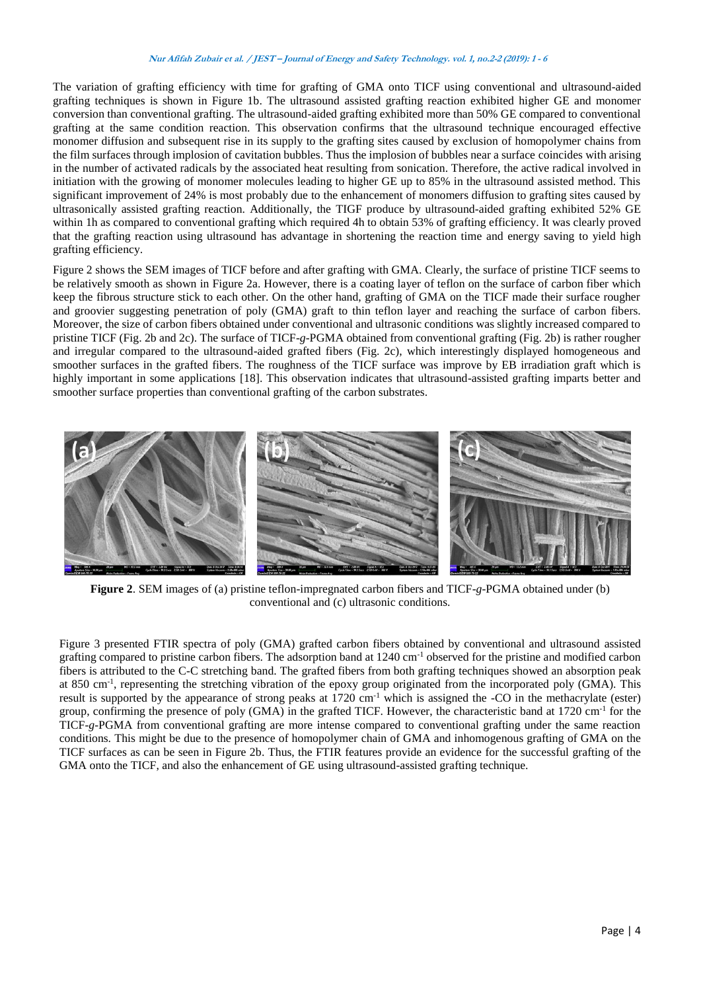## **Nur Afifah Zubair et al. / JEST – Journal of Energy and Safety Technology. vol. 1, no.2-2 (2019): <sup>1</sup> - <sup>6</sup>**

The variation of grafting efficiency with time for grafting of GMA onto TICF using conventional and ultrasound-aided grafting techniques is shown in Figure 1b. The ultrasound assisted grafting reaction exhibited higher GE and monomer conversion than conventional grafting. The ultrasound-aided grafting exhibited more than 50% GE compared to conventional grafting at the same condition reaction. This observation confirms that the ultrasound technique encouraged effective monomer diffusion and subsequent rise in its supply to the grafting sites caused by exclusion of homopolymer chains from the film surfaces through implosion of cavitation bubbles. Thus the implosion of bubbles near a surface coincides with arising in the number of activated radicals by the associated heat resulting from sonication. Therefore, the active radical involved in initiation with the growing of monomer molecules leading to higher GE up to 85% in the ultrasound assisted method. This significant improvement of 24% is most probably due to the enhancement of monomers diffusion to grafting sites caused by ultrasonically assisted grafting reaction. Additionally, the TIGF produce by ultrasound-aided grafting exhibited 52% GE within 1h as compared to conventional grafting which required 4h to obtain 53% of grafting efficiency. It was clearly proved that the grafting reaction using ultrasound has advantage in shortening the reaction time and energy saving to yield high grafting efficiency.

Figure 2 shows the SEM images of TICF before and after grafting with GMA. Clearly, the surface of pristine TICF seems to be relatively smooth as shown in Figure 2a. However, there is a coating layer of teflon on the surface of carbon fiber which keep the fibrous structure stick to each other. On the other hand, grafting of GMA on the TICF made their surface rougher and groovier suggesting penetration of poly (GMA) graft to thin teflon layer and reaching the surface of carbon fibers. Moreover, the size of carbon fibers obtained under conventional and ultrasonic conditions was slightly increased compared to pristine TICF (Fig. 2b and 2c). The surface of TICF-*g*-PGMA obtained from conventional grafting (Fig. 2b) is rather rougher and irregular compared to the ultrasound-aided grafted fibers (Fig. 2c), which interestingly displayed homogeneous and smoother surfaces in the grafted fibers. The roughness of the TICF surface was improve by EB irradiation graft which is highly important in some applications [18]. This observation indicates that ultrasound-assisted grafting imparts better and smoother surface properties than conventional grafting of the carbon substrates.



**Figure 2**. SEM images of (a) pristine teflon-impregnated carbon fibers and TICF-*g*-PGMA obtained under (b) conventional and (c) ultrasonic conditions.

Figure 3 presented FTIR spectra of poly (GMA) grafted carbon fibers obtained by conventional and ultrasound assisted grafting compared to pristine carbon fibers. The adsorption band at 1240 cm-1 observed for the pristine and modified carbon fibers is attributed to the C-C stretching band. The grafted fibers from both grafting techniques showed an absorption peak at 850 cm<sup>-1</sup>, representing the stretching vibration of the epoxy group originated from the incorporated poly (GMA). This result is supported by the appearance of strong peaks at  $1720 \text{ cm}^{-1}$  which is assigned the -CO in the methacrylate (ester) group, confirming the presence of poly (GMA) in the grafted TICF. However, the characteristic band at 1720 cm<sup>-1</sup> for the TICF-*g*-PGMA from conventional grafting are more intense compared to conventional grafting under the same reaction conditions. This might be due to the presence of homopolymer chain of GMA and inhomogenous grafting of GMA on the TICF surfaces as can be seen in Figure 2b. Thus, the FTIR features provide an evidence for the successful grafting of the GMA onto the TICF, and also the enhancement of GE using ultrasound-assisted grafting technique.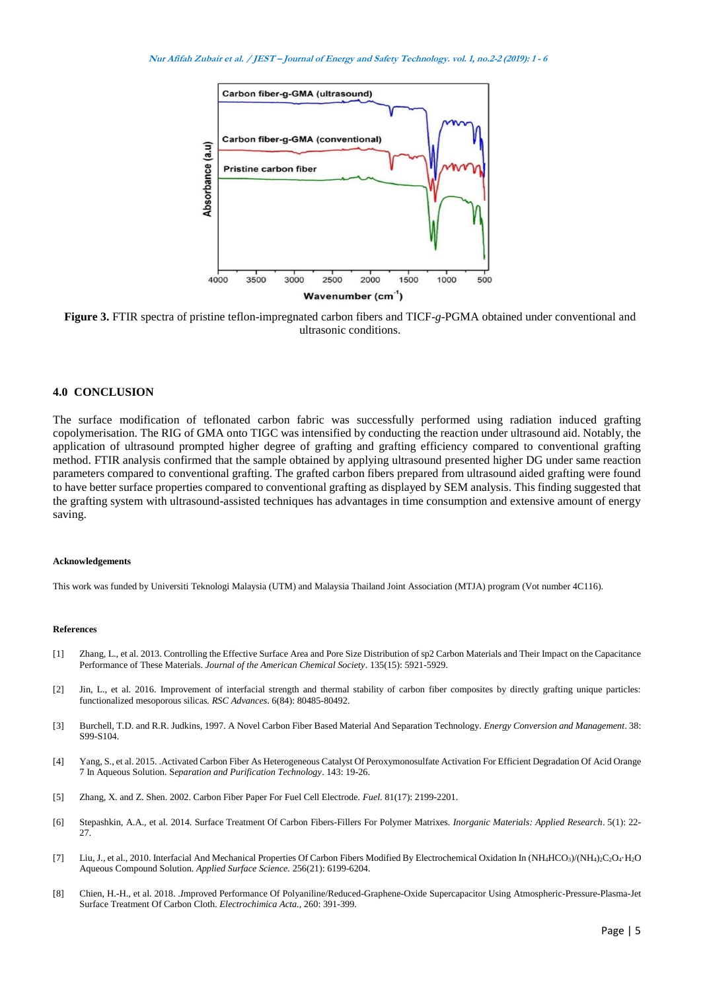

**Figure 3.** FTIR spectra of pristine teflon-impregnated carbon fibers and TICF-*g*-PGMA obtained under conventional and ultrasonic conditions.

## **4.0 CONCLUSION**

The surface modification of teflonated carbon fabric was successfully performed using radiation induced grafting copolymerisation. The RIG of GMA onto TIGC was intensified by conducting the reaction under ultrasound aid. Notably, the application of ultrasound prompted higher degree of grafting and grafting efficiency compared to conventional grafting method. FTIR analysis confirmed that the sample obtained by applying ultrasound presented higher DG under same reaction parameters compared to conventional grafting. The grafted carbon fibers prepared from ultrasound aided grafting were found to have better surface properties compared to conventional grafting as displayed by SEM analysis. This finding suggested that the grafting system with ultrasound-assisted techniques has advantages in time consumption and extensive amount of energy saving.

#### **Acknowledgements**

This work was funded by Universiti Teknologi Malaysia (UTM) and Malaysia Thailand Joint Association (MTJA) program (Vot number 4C116).

#### **References**

- [1] Zhang, L., et al. 2013. Controlling the Effective Surface Area and Pore Size Distribution of sp2 Carbon Materials and Their Impact on the Capacitance Performance of These Materials. *Journal of the American Chemical Society*. 135(15): 5921-5929.
- [2] Jin, L., et al. 2016. Improvement of interfacial strength and thermal stability of carbon fiber composites by directly grafting unique particles: functionalized mesoporous silicas*. RSC Advances*. 6(84): 80485-80492.
- [3] Burchell, T.D. and R.R. Judkins, 1997. A Novel Carbon Fiber Based Material And Separation Technology*. Energy Conversion and Management*. 38: S99-S104.
- [4] Yang, S., et al. 2015. .Activated Carbon Fiber As Heterogeneous Catalyst Of Peroxymonosulfate Activation For Efficient Degradation Of Acid Orange 7 In Aqueous Solution*.* S*eparation and Purification Technology*. 143: 19-26.
- [5] Zhang, X. and Z. Shen. 2002. Carbon Fiber Paper For Fuel Cell Electrode*. Fuel.* 81(17): 2199-2201.
- [6] Stepashkin, A.A., et al. 2014. Surface Treatment Of Carbon Fibers-Fillers For Polymer Matrixes*. Inorganic Materials: Applied Research*. 5(1): 22- 27.
- [7] Liu, J., et al., 2010. Interfacial And Mechanical Properties Of Carbon Fibers Modified By Electrochemical Oxidation In (NH<sub>4</sub>HCO<sub>3</sub>)/(NH<sub>4</sub>)<sub>2</sub>C<sub>2</sub>O<sub>4</sub>·H<sub>2</sub>O Aqueous Compound Solution. *Applied Surface Science.* 256(21): 6199-6204.
- [8] Chien, H.-H., et al. 2018. .*I*mproved Performance Of Polyaniline/Reduced-Graphene-Oxide Supercapacitor Using Atmospheric-Pressure-Plasma-Jet Surface Treatment Of Carbon Cloth*. Electrochimica Acta.,* 260: 391-399.